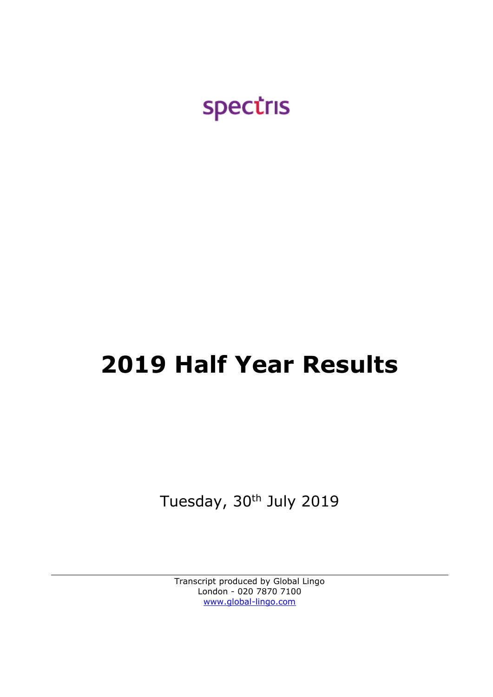

# **2019 Half Year Results**

Tuesday, 30<sup>th</sup> July 2019

Transcript produced by Global Lingo London - 020 7870 7100 [www.global-lingo.com](http://www.global-lingo.com/)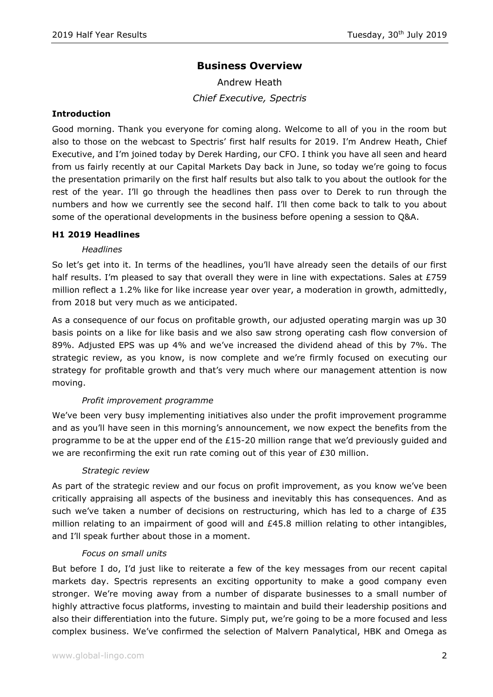# **Business Overview**

Andrew Heath *Chief Executive, Spectris*

## **Introduction**

Good morning. Thank you everyone for coming along. Welcome to all of you in the room but also to those on the webcast to Spectris' first half results for 2019. I'm Andrew Heath, Chief Executive, and I'm joined today by Derek Harding, our CFO. I think you have all seen and heard from us fairly recently at our Capital Markets Day back in June, so today we're going to focus the presentation primarily on the first half results but also talk to you about the outlook for the rest of the year. I'll go through the headlines then pass over to Derek to run through the numbers and how we currently see the second half. I'll then come back to talk to you about some of the operational developments in the business before opening a session to Q&A.

## **H1 2019 Headlines**

## *Headlines*

So let's get into it. In terms of the headlines, you'll have already seen the details of our first half results. I'm pleased to say that overall they were in line with expectations. Sales at £759 million reflect a 1.2% like for like increase year over year, a moderation in growth, admittedly, from 2018 but very much as we anticipated.

As a consequence of our focus on profitable growth, our adjusted operating margin was up 30 basis points on a like for like basis and we also saw strong operating cash flow conversion of 89%. Adjusted EPS was up 4% and we've increased the dividend ahead of this by 7%. The strategic review, as you know, is now complete and we're firmly focused on executing our strategy for profitable growth and that's very much where our management attention is now moving.

## *Profit improvement programme*

We've been very busy implementing initiatives also under the profit improvement programme and as you'll have seen in this morning's announcement, we now expect the benefits from the programme to be at the upper end of the  $£15$ -20 million range that we'd previously guided and we are reconfirming the exit run rate coming out of this year of  $E30$  million.

## *Strategic review*

As part of the strategic review and our focus on profit improvement, as you know we've been critically appraising all aspects of the business and inevitably this has consequences. And as such we've taken a number of decisions on restructuring, which has led to a charge of £35 million relating to an impairment of good will and £45.8 million relating to other intangibles, and I'll speak further about those in a moment.

## *Focus on small units*

But before I do, I'd just like to reiterate a few of the key messages from our recent capital markets day. Spectris represents an exciting opportunity to make a good company even stronger. We're moving away from a number of disparate businesses to a small number of highly attractive focus platforms, investing to maintain and build their leadership positions and also their differentiation into the future. Simply put, we're going to be a more focused and less complex business. We've confirmed the selection of Malvern Panalytical, HBK and Omega as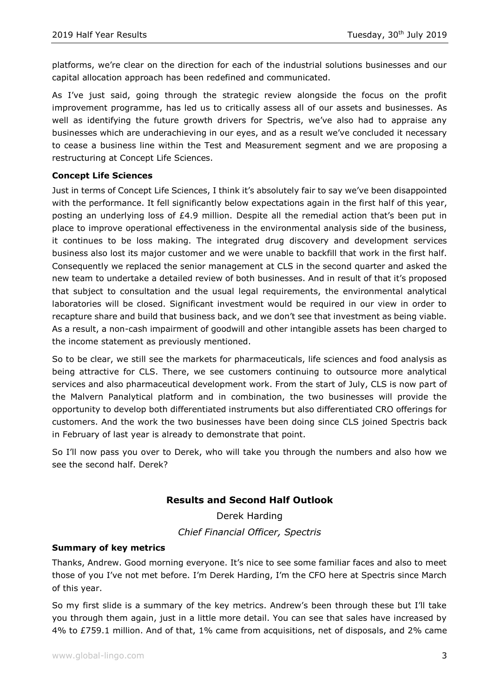platforms, we're clear on the direction for each of the industrial solutions businesses and our capital allocation approach has been redefined and communicated.

As I've just said, going through the strategic review alongside the focus on the profit improvement programme, has led us to critically assess all of our assets and businesses. As well as identifying the future growth drivers for Spectris, we've also had to appraise any businesses which are underachieving in our eyes, and as a result we've concluded it necessary to cease a business line within the Test and Measurement segment and we are proposing a restructuring at Concept Life Sciences.

## **Concept Life Sciences**

Just in terms of Concept Life Sciences, I think it's absolutely fair to say we've been disappointed with the performance. It fell significantly below expectations again in the first half of this year, posting an underlying loss of £4.9 million. Despite all the remedial action that's been put in place to improve operational effectiveness in the environmental analysis side of the business, it continues to be loss making. The integrated drug discovery and development services business also lost its major customer and we were unable to backfill that work in the first half. Consequently we replaced the senior management at CLS in the second quarter and asked the new team to undertake a detailed review of both businesses. And in result of that it's proposed that subject to consultation and the usual legal requirements, the environmental analytical laboratories will be closed. Significant investment would be required in our view in order to recapture share and build that business back, and we don't see that investment as being viable. As a result, a non-cash impairment of goodwill and other intangible assets has been charged to the income statement as previously mentioned.

So to be clear, we still see the markets for pharmaceuticals, life sciences and food analysis as being attractive for CLS. There, we see customers continuing to outsource more analytical services and also pharmaceutical development work. From the start of July, CLS is now part of the Malvern Panalytical platform and in combination, the two businesses will provide the opportunity to develop both differentiated instruments but also differentiated CRO offerings for customers. And the work the two businesses have been doing since CLS joined Spectris back in February of last year is already to demonstrate that point.

So I'll now pass you over to Derek, who will take you through the numbers and also how we see the second half. Derek?

# **Results and Second Half Outlook**

Derek Harding *Chief Financial Officer, Spectris*

## **Summary of key metrics**

Thanks, Andrew. Good morning everyone. It's nice to see some familiar faces and also to meet those of you I've not met before. I'm Derek Harding, I'm the CFO here at Spectris since March of this year.

So my first slide is a summary of the key metrics. Andrew's been through these but I'll take you through them again, just in a little more detail. You can see that sales have increased by 4% to £759.1 million. And of that, 1% came from acquisitions, net of disposals, and 2% came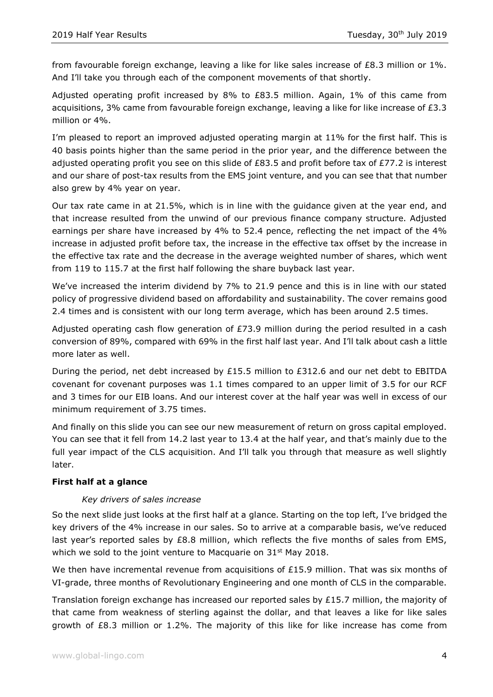from favourable foreign exchange, leaving a like for like sales increase of £8.3 million or 1%. And I'll take you through each of the component movements of that shortly.

Adjusted operating profit increased by 8% to £83.5 million. Again, 1% of this came from acquisitions, 3% came from favourable foreign exchange, leaving a like for like increase of £3.3 million or 4%.

I'm pleased to report an improved adjusted operating margin at 11% for the first half. This is 40 basis points higher than the same period in the prior year, and the difference between the adjusted operating profit you see on this slide of £83.5 and profit before tax of £77.2 is interest and our share of post-tax results from the EMS joint venture, and you can see that that number also grew by 4% year on year.

Our tax rate came in at 21.5%, which is in line with the guidance given at the year end, and that increase resulted from the unwind of our previous finance company structure. Adjusted earnings per share have increased by 4% to 52.4 pence, reflecting the net impact of the 4% increase in adjusted profit before tax, the increase in the effective tax offset by the increase in the effective tax rate and the decrease in the average weighted number of shares, which went from 119 to 115.7 at the first half following the share buyback last year.

We've increased the interim dividend by 7% to 21.9 pence and this is in line with our stated policy of progressive dividend based on affordability and sustainability. The cover remains good 2.4 times and is consistent with our long term average, which has been around 2.5 times.

Adjusted operating cash flow generation of  $E$ 73.9 million during the period resulted in a cash conversion of 89%, compared with 69% in the first half last year. And I'll talk about cash a little more later as well.

During the period, net debt increased by  $£15.5$  million to  $£312.6$  and our net debt to EBITDA covenant for covenant purposes was 1.1 times compared to an upper limit of 3.5 for our RCF and 3 times for our EIB loans. And our interest cover at the half year was well in excess of our minimum requirement of 3.75 times.

And finally on this slide you can see our new measurement of return on gross capital employed. You can see that it fell from 14.2 last year to 13.4 at the half year, and that's mainly due to the full year impact of the CLS acquisition. And I'll talk you through that measure as well slightly later.

## **First half at a glance**

## *Key drivers of sales increase*

So the next slide just looks at the first half at a glance. Starting on the top left, I've bridged the key drivers of the 4% increase in our sales. So to arrive at a comparable basis, we've reduced last year's reported sales by £8.8 million, which reflects the five months of sales from EMS, which we sold to the joint venture to Macquarie on  $31^{st}$  May 2018.

We then have incremental revenue from acquisitions of  $£15.9$  million. That was six months of VI-grade, three months of Revolutionary Engineering and one month of CLS in the comparable.

Translation foreign exchange has increased our reported sales by £15.7 million, the majority of that came from weakness of sterling against the dollar, and that leaves a like for like sales growth of £8.3 million or 1.2%. The majority of this like for like increase has come from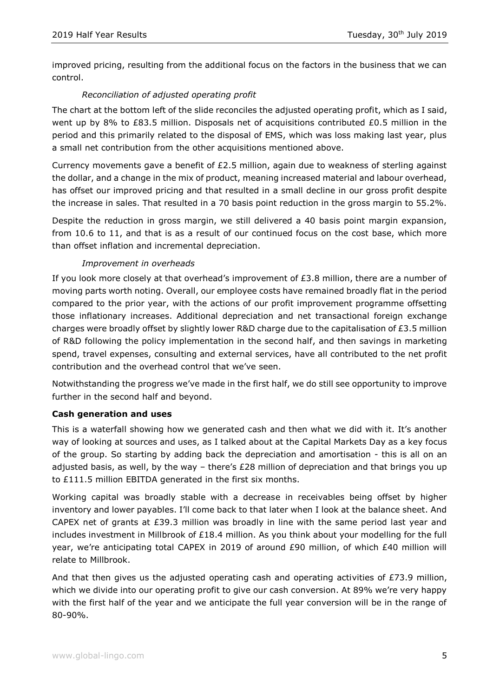improved pricing, resulting from the additional focus on the factors in the business that we can control.

# *Reconciliation of adjusted operating profit*

The chart at the bottom left of the slide reconciles the adjusted operating profit, which as I said, went up by 8% to £83.5 million. Disposals net of acquisitions contributed £0.5 million in the period and this primarily related to the disposal of EMS, which was loss making last year, plus a small net contribution from the other acquisitions mentioned above.

Currency movements gave a benefit of  $E2.5$  million, again due to weakness of sterling against the dollar, and a change in the mix of product, meaning increased material and labour overhead, has offset our improved pricing and that resulted in a small decline in our gross profit despite the increase in sales. That resulted in a 70 basis point reduction in the gross margin to 55.2%.

Despite the reduction in gross margin, we still delivered a 40 basis point margin expansion, from 10.6 to 11, and that is as a result of our continued focus on the cost base, which more than offset inflation and incremental depreciation.

# *Improvement in overheads*

If you look more closely at that overhead's improvement of  $E3.8$  million, there are a number of moving parts worth noting. Overall, our employee costs have remained broadly flat in the period compared to the prior year, with the actions of our profit improvement programme offsetting those inflationary increases. Additional depreciation and net transactional foreign exchange charges were broadly offset by slightly lower R&D charge due to the capitalisation of £3.5 million of R&D following the policy implementation in the second half, and then savings in marketing spend, travel expenses, consulting and external services, have all contributed to the net profit contribution and the overhead control that we've seen.

Notwithstanding the progress we've made in the first half, we do still see opportunity to improve further in the second half and beyond.

## **Cash generation and uses**

This is a waterfall showing how we generated cash and then what we did with it. It's another way of looking at sources and uses, as I talked about at the Capital Markets Day as a key focus of the group. So starting by adding back the depreciation and amortisation - this is all on an adjusted basis, as well, by the way – there's  $E28$  million of depreciation and that brings you up to £111.5 million EBITDA generated in the first six months.

Working capital was broadly stable with a decrease in receivables being offset by higher inventory and lower payables. I'll come back to that later when I look at the balance sheet. And CAPEX net of grants at £39.3 million was broadly in line with the same period last year and includes investment in Millbrook of £18.4 million. As you think about your modelling for the full year, we're anticipating total CAPEX in 2019 of around £90 million, of which £40 million will relate to Millbrook.

And that then gives us the adjusted operating cash and operating activities of  $E$ 73.9 million, which we divide into our operating profit to give our cash conversion. At 89% we're very happy with the first half of the year and we anticipate the full year conversion will be in the range of 80-90%.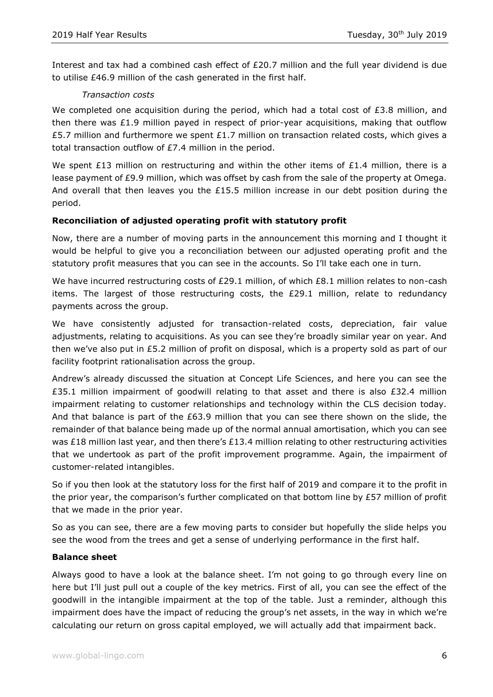Interest and tax had a combined cash effect of £20.7 million and the full year dividend is due to utilise £46.9 million of the cash generated in the first half.

## *Transaction costs*

We completed one acquisition during the period, which had a total cost of  $£3.8$  million, and then there was £1.9 million payed in respect of prior-year acquisitions, making that outflow £5.7 million and furthermore we spent £1.7 million on transaction related costs, which gives a total transaction outflow of £7.4 million in the period.

We spent £13 million on restructuring and within the other items of £1.4 million, there is a lease payment of £9.9 million, which was offset by cash from the sale of the property at Omega. And overall that then leaves you the £15.5 million increase in our debt position during the period.

## **Reconciliation of adjusted operating profit with statutory profit**

Now, there are a number of moving parts in the announcement this morning and I thought it would be helpful to give you a reconciliation between our adjusted operating profit and the statutory profit measures that you can see in the accounts. So I'll take each one in turn.

We have incurred restructuring costs of £29.1 million, of which £8.1 million relates to non-cash items. The largest of those restructuring costs, the £29.1 million, relate to redundancy payments across the group.

We have consistently adjusted for transaction-related costs, depreciation, fair value adjustments, relating to acquisitions. As you can see they're broadly similar year on year. And then we've also put in £5.2 million of profit on disposal, which is a property sold as part of our facility footprint rationalisation across the group.

Andrew's already discussed the situation at Concept Life Sciences, and here you can see the £35.1 million impairment of goodwill relating to that asset and there is also £32.4 million impairment relating to customer relationships and technology within the CLS decision today. And that balance is part of the £63.9 million that you can see there shown on the slide, the remainder of that balance being made up of the normal annual amortisation, which you can see was £18 million last year, and then there's £13.4 million relating to other restructuring activities that we undertook as part of the profit improvement programme. Again, the impairment of customer-related intangibles.

So if you then look at the statutory loss for the first half of 2019 and compare it to the profit in the prior year, the comparison's further complicated on that bottom line by  $£57$  million of profit that we made in the prior year.

So as you can see, there are a few moving parts to consider but hopefully the slide helps you see the wood from the trees and get a sense of underlying performance in the first half.

## **Balance sheet**

Always good to have a look at the balance sheet. I'm not going to go through every line on here but I'll just pull out a couple of the key metrics. First of all, you can see the effect of the goodwill in the intangible impairment at the top of the table. Just a reminder, although this impairment does have the impact of reducing the group's net assets, in the way in which we're calculating our return on gross capital employed, we will actually add that impairment back.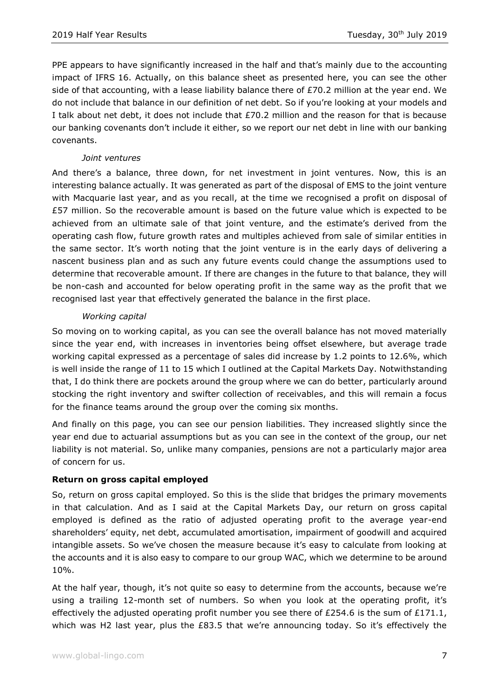PPE appears to have significantly increased in the half and that's mainly due to the accounting impact of IFRS 16. Actually, on this balance sheet as presented here, you can see the other side of that accounting, with a lease liability balance there of £70.2 million at the year end. We do not include that balance in our definition of net debt. So if you're looking at your models and I talk about net debt, it does not include that  $E70.2$  million and the reason for that is because our banking covenants don't include it either, so we report our net debt in line with our banking covenants.

## *Joint ventures*

And there's a balance, three down, for net investment in joint ventures. Now, this is an interesting balance actually. It was generated as part of the disposal of EMS to the joint venture with Macquarie last year, and as you recall, at the time we recognised a profit on disposal of £57 million. So the recoverable amount is based on the future value which is expected to be achieved from an ultimate sale of that joint venture, and the estimate's derived from the operating cash flow, future growth rates and multiples achieved from sale of similar entities in the same sector. It's worth noting that the joint venture is in the early days of delivering a nascent business plan and as such any future events could change the assumptions used to determine that recoverable amount. If there are changes in the future to that balance, they will be non-cash and accounted for below operating profit in the same way as the profit that we recognised last year that effectively generated the balance in the first place.

## *Working capital*

So moving on to working capital, as you can see the overall balance has not moved materially since the year end, with increases in inventories being offset elsewhere, but average trade working capital expressed as a percentage of sales did increase by 1.2 points to 12.6%, which is well inside the range of 11 to 15 which I outlined at the Capital Markets Day. Notwithstanding that, I do think there are pockets around the group where we can do better, particularly around stocking the right inventory and swifter collection of receivables, and this will remain a focus for the finance teams around the group over the coming six months.

And finally on this page, you can see our pension liabilities. They increased slightly since the year end due to actuarial assumptions but as you can see in the context of the group, our net liability is not material. So, unlike many companies, pensions are not a particularly major area of concern for us.

## **Return on gross capital employed**

So, return on gross capital employed. So this is the slide that bridges the primary movements in that calculation. And as I said at the Capital Markets Day, our return on gross capital employed is defined as the ratio of adjusted operating profit to the average year-end shareholders' equity, net debt, accumulated amortisation, impairment of goodwill and acquired intangible assets. So we've chosen the measure because it's easy to calculate from looking at the accounts and it is also easy to compare to our group WAC, which we determine to be around 10%.

At the half year, though, it's not quite so easy to determine from the accounts, because we're using a trailing 12-month set of numbers. So when you look at the operating profit, it's effectively the adjusted operating profit number you see there of £254.6 is the sum of £171.1, which was H2 last year, plus the £83.5 that we're announcing today. So it's effectively the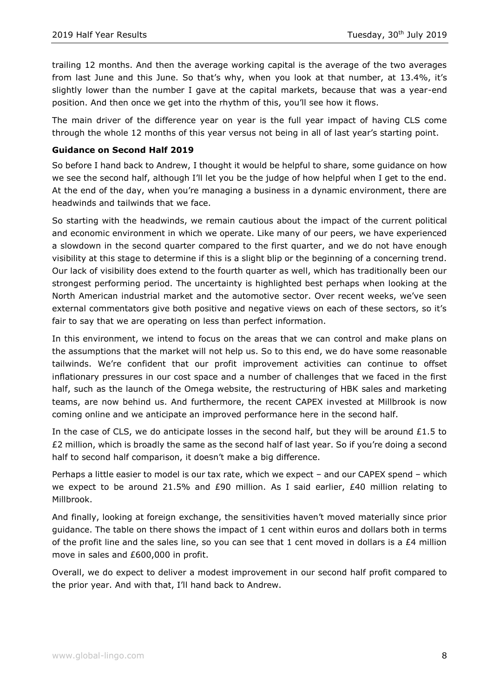trailing 12 months. And then the average working capital is the average of the two averages from last June and this June. So that's why, when you look at that number, at 13.4%, it's slightly lower than the number I gave at the capital markets, because that was a year-end position. And then once we get into the rhythm of this, you'll see how it flows.

The main driver of the difference year on year is the full year impact of having CLS come through the whole 12 months of this year versus not being in all of last year's starting point.

## **Guidance on Second Half 2019**

So before I hand back to Andrew, I thought it would be helpful to share, some guidance on how we see the second half, although I'll let you be the judge of how helpful when I get to the end. At the end of the day, when you're managing a business in a dynamic environment, there are headwinds and tailwinds that we face.

So starting with the headwinds, we remain cautious about the impact of the current political and economic environment in which we operate. Like many of our peers, we have experienced a slowdown in the second quarter compared to the first quarter, and we do not have enough visibility at this stage to determine if this is a slight blip or the beginning of a concerning trend. Our lack of visibility does extend to the fourth quarter as well, which has traditionally been our strongest performing period. The uncertainty is highlighted best perhaps when looking at the North American industrial market and the automotive sector. Over recent weeks, we've seen external commentators give both positive and negative views on each of these sectors, so it's fair to say that we are operating on less than perfect information.

In this environment, we intend to focus on the areas that we can control and make plans on the assumptions that the market will not help us. So to this end, we do have some reasonable tailwinds. We're confident that our profit improvement activities can continue to offset inflationary pressures in our cost space and a number of challenges that we faced in the first half, such as the launch of the Omega website, the restructuring of HBK sales and marketing teams, are now behind us. And furthermore, the recent CAPEX invested at Millbrook is now coming online and we anticipate an improved performance here in the second half.

In the case of CLS, we do anticipate losses in the second half, but they will be around  $£1.5$  to £2 million, which is broadly the same as the second half of last year. So if you're doing a second half to second half comparison, it doesn't make a big difference.

Perhaps a little easier to model is our tax rate, which we expect – and our CAPEX spend – which we expect to be around 21.5% and £90 million. As I said earlier,  $£40$  million relating to Millbrook.

And finally, looking at foreign exchange, the sensitivities haven't moved materially since prior guidance. The table on there shows the impact of 1 cent within euros and dollars both in terms of the profit line and the sales line, so you can see that  $1$  cent moved in dollars is a  $£4$  million move in sales and £600,000 in profit.

Overall, we do expect to deliver a modest improvement in our second half profit compared to the prior year. And with that, I'll hand back to Andrew.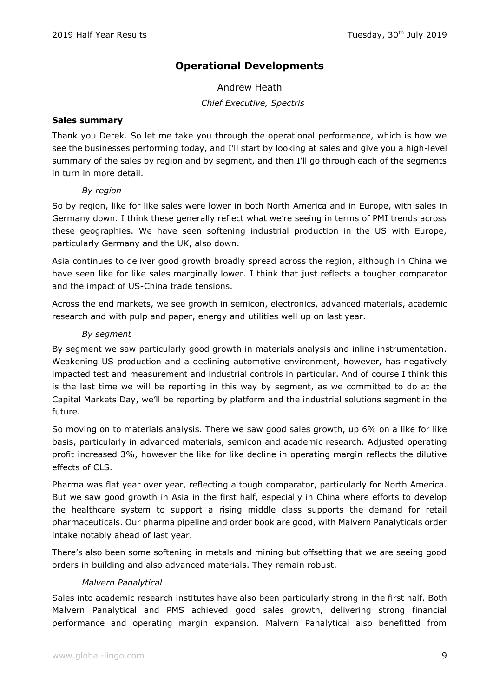# **Operational Developments**

Andrew Heath *Chief Executive, Spectris*

## **Sales summary**

Thank you Derek. So let me take you through the operational performance, which is how we see the businesses performing today, and I'll start by looking at sales and give you a high-level summary of the sales by region and by segment, and then I'll go through each of the segments in turn in more detail.

## *By region*

So by region, like for like sales were lower in both North America and in Europe, with sales in Germany down. I think these generally reflect what we're seeing in terms of PMI trends across these geographies. We have seen softening industrial production in the US with Europe, particularly Germany and the UK, also down.

Asia continues to deliver good growth broadly spread across the region, although in China we have seen like for like sales marginally lower. I think that just reflects a tougher comparator and the impact of US-China trade tensions.

Across the end markets, we see growth in semicon, electronics, advanced materials, academic research and with pulp and paper, energy and utilities well up on last year.

## *By segment*

By segment we saw particularly good growth in materials analysis and inline instrumentation. Weakening US production and a declining automotive environment, however, has negatively impacted test and measurement and industrial controls in particular. And of course I think this is the last time we will be reporting in this way by segment, as we committed to do at the Capital Markets Day, we'll be reporting by platform and the industrial solutions segment in the future.

So moving on to materials analysis. There we saw good sales growth, up 6% on a like for like basis, particularly in advanced materials, semicon and academic research. Adjusted operating profit increased 3%, however the like for like decline in operating margin reflects the dilutive effects of CLS.

Pharma was flat year over year, reflecting a tough comparator, particularly for North America. But we saw good growth in Asia in the first half, especially in China where efforts to develop the healthcare system to support a rising middle class supports the demand for retail pharmaceuticals. Our pharma pipeline and order book are good, with Malvern Panalyticals order intake notably ahead of last year.

There's also been some softening in metals and mining but offsetting that we are seeing good orders in building and also advanced materials. They remain robust.

## *Malvern Panalytical*

Sales into academic research institutes have also been particularly strong in the first half. Both Malvern Panalytical and PMS achieved good sales growth, delivering strong financial performance and operating margin expansion. Malvern Panalytical also benefitted from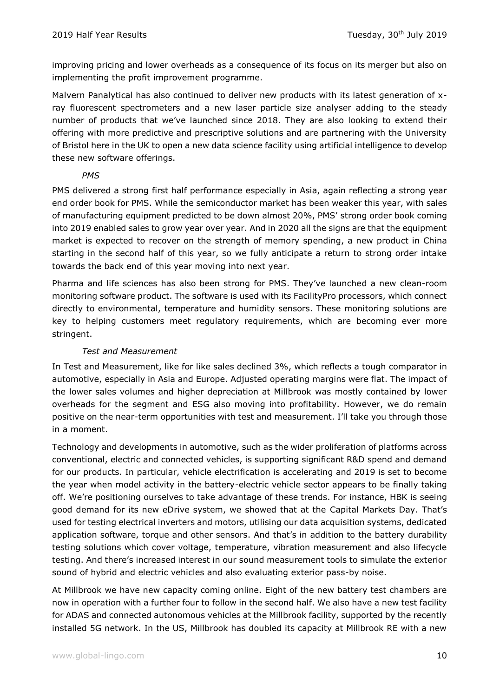improving pricing and lower overheads as a consequence of its focus on its merger but also on implementing the profit improvement programme.

Malvern Panalytical has also continued to deliver new products with its latest generation of xray fluorescent spectrometers and a new laser particle size analyser adding to the steady number of products that we've launched since 2018. They are also looking to extend their offering with more predictive and prescriptive solutions and are partnering with the University of Bristol here in the UK to open a new data science facility using artificial intelligence to develop these new software offerings.

## *PMS*

PMS delivered a strong first half performance especially in Asia, again reflecting a strong year end order book for PMS. While the semiconductor market has been weaker this year, with sales of manufacturing equipment predicted to be down almost 20%, PMS' strong order book coming into 2019 enabled sales to grow year over year. And in 2020 all the signs are that the equipment market is expected to recover on the strength of memory spending, a new product in China starting in the second half of this year, so we fully anticipate a return to strong order intake towards the back end of this year moving into next year.

Pharma and life sciences has also been strong for PMS. They've launched a new clean-room monitoring software product. The software is used with its FacilityPro processors, which connect directly to environmental, temperature and humidity sensors. These monitoring solutions are key to helping customers meet regulatory requirements, which are becoming ever more stringent.

## *Test and Measurement*

In Test and Measurement, like for like sales declined 3%, which reflects a tough comparator in automotive, especially in Asia and Europe. Adjusted operating margins were flat. The impact of the lower sales volumes and higher depreciation at Millbrook was mostly contained by lower overheads for the segment and ESG also moving into profitability. However, we do remain positive on the near-term opportunities with test and measurement. I'll take you through those in a moment.

Technology and developments in automotive, such as the wider proliferation of platforms across conventional, electric and connected vehicles, is supporting significant R&D spend and demand for our products. In particular, vehicle electrification is accelerating and 2019 is set to become the year when model activity in the battery-electric vehicle sector appears to be finally taking off. We're positioning ourselves to take advantage of these trends. For instance, HBK is seeing good demand for its new eDrive system, we showed that at the Capital Markets Day. That's used for testing electrical inverters and motors, utilising our data acquisition systems, dedicated application software, torque and other sensors. And that's in addition to the battery durability testing solutions which cover voltage, temperature, vibration measurement and also lifecycle testing. And there's increased interest in our sound measurement tools to simulate the exterior sound of hybrid and electric vehicles and also evaluating exterior pass-by noise.

At Millbrook we have new capacity coming online. Eight of the new battery test chambers are now in operation with a further four to follow in the second half. We also have a new test facility for ADAS and connected autonomous vehicles at the Millbrook facility, supported by the recently installed 5G network. In the US, Millbrook has doubled its capacity at Millbrook RE with a new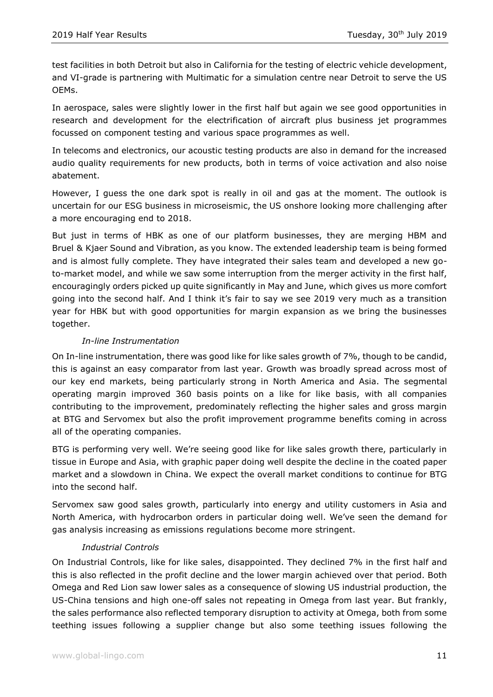test facilities in both Detroit but also in California for the testing of electric vehicle development, and VI-grade is partnering with Multimatic for a simulation centre near Detroit to serve the US OEMs.

In aerospace, sales were slightly lower in the first half but again we see good opportunities in research and development for the electrification of aircraft plus business jet programmes focussed on component testing and various space programmes as well.

In telecoms and electronics, our acoustic testing products are also in demand for the increased audio quality requirements for new products, both in terms of voice activation and also noise abatement.

However, I guess the one dark spot is really in oil and gas at the moment. The outlook is uncertain for our ESG business in microseismic, the US onshore looking more challenging after a more encouraging end to 2018.

But just in terms of HBK as one of our platform businesses, they are merging HBM and Bruel & Kjaer Sound and Vibration, as you know. The extended leadership team is being formed and is almost fully complete. They have integrated their sales team and developed a new goto-market model, and while we saw some interruption from the merger activity in the first half, encouragingly orders picked up quite significantly in May and June, which gives us more comfort going into the second half. And I think it's fair to say we see 2019 very much as a transition year for HBK but with good opportunities for margin expansion as we bring the businesses together.

## *In-line Instrumentation*

On In-line instrumentation, there was good like for like sales growth of 7%, though to be candid, this is against an easy comparator from last year. Growth was broadly spread across most of our key end markets, being particularly strong in North America and Asia. The segmental operating margin improved 360 basis points on a like for like basis, with all companies contributing to the improvement, predominately reflecting the higher sales and gross margin at BTG and Servomex but also the profit improvement programme benefits coming in across all of the operating companies.

BTG is performing very well. We're seeing good like for like sales growth there, particularly in tissue in Europe and Asia, with graphic paper doing well despite the decline in the coated paper market and a slowdown in China. We expect the overall market conditions to continue for BTG into the second half.

Servomex saw good sales growth, particularly into energy and utility customers in Asia and North America, with hydrocarbon orders in particular doing well. We've seen the demand for gas analysis increasing as emissions regulations become more stringent.

## *Industrial Controls*

On Industrial Controls, like for like sales, disappointed. They declined 7% in the first half and this is also reflected in the profit decline and the lower margin achieved over that period. Both Omega and Red Lion saw lower sales as a consequence of slowing US industrial production, the US-China tensions and high one-off sales not repeating in Omega from last year. But frankly, the sales performance also reflected temporary disruption to activity at Omega, both from some teething issues following a supplier change but also some teething issues following the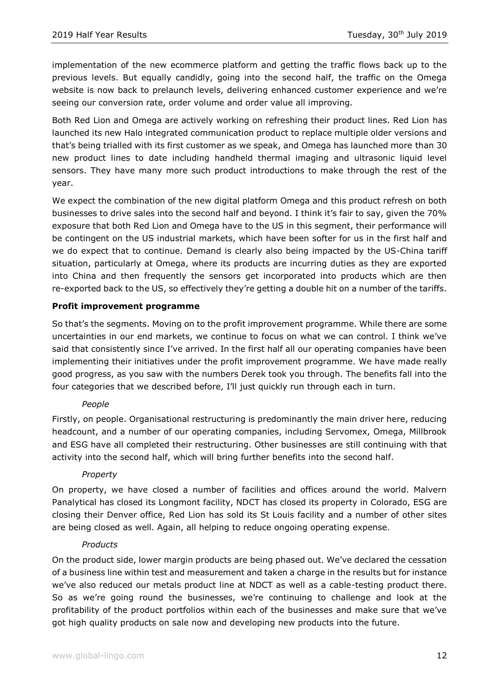implementation of the new ecommerce platform and getting the traffic flows back up to the previous levels. But equally candidly, going into the second half, the traffic on the Omega website is now back to prelaunch levels, delivering enhanced customer experience and we're seeing our conversion rate, order volume and order value all improving.

Both Red Lion and Omega are actively working on refreshing their product lines. Red Lion has launched its new Halo integrated communication product to replace multiple older versions and that's being trialled with its first customer as we speak, and Omega has launched more than 30 new product lines to date including handheld thermal imaging and ultrasonic liquid level sensors. They have many more such product introductions to make through the rest of the year.

We expect the combination of the new digital platform Omega and this product refresh on both businesses to drive sales into the second half and beyond. I think it's fair to say, given the 70% exposure that both Red Lion and Omega have to the US in this segment, their performance will be contingent on the US industrial markets, which have been softer for us in the first half and we do expect that to continue. Demand is clearly also being impacted by the US-China tariff situation, particularly at Omega, where its products are incurring duties as they are exported into China and then frequently the sensors get incorporated into products which are then re-exported back to the US, so effectively they're getting a double hit on a number of the tariffs.

## **Profit improvement programme**

So that's the segments. Moving on to the profit improvement programme. While there are some uncertainties in our end markets, we continue to focus on what we can control. I think we've said that consistently since I've arrived. In the first half all our operating companies have been implementing their initiatives under the profit improvement programme. We have made really good progress, as you saw with the numbers Derek took you through. The benefits fall into the four categories that we described before, I'll just quickly run through each in turn.

## *People*

Firstly, on people. Organisational restructuring is predominantly the main driver here, reducing headcount, and a number of our operating companies, including Servomex, Omega, Millbrook and ESG have all completed their restructuring. Other businesses are still continuing with that activity into the second half, which will bring further benefits into the second half.

## *Property*

On property, we have closed a number of facilities and offices around the world. Malvern Panalytical has closed its Longmont facility, NDCT has closed its property in Colorado, ESG are closing their Denver office, Red Lion has sold its St Louis facility and a number of other sites are being closed as well. Again, all helping to reduce ongoing operating expense.

## *Products*

On the product side, lower margin products are being phased out. We've declared the cessation of a business line within test and measurement and taken a charge in the results but for instance we've also reduced our metals product line at NDCT as well as a cable-testing product there. So as we're going round the businesses, we're continuing to challenge and look at the profitability of the product portfolios within each of the businesses and make sure that we've got high quality products on sale now and developing new products into the future.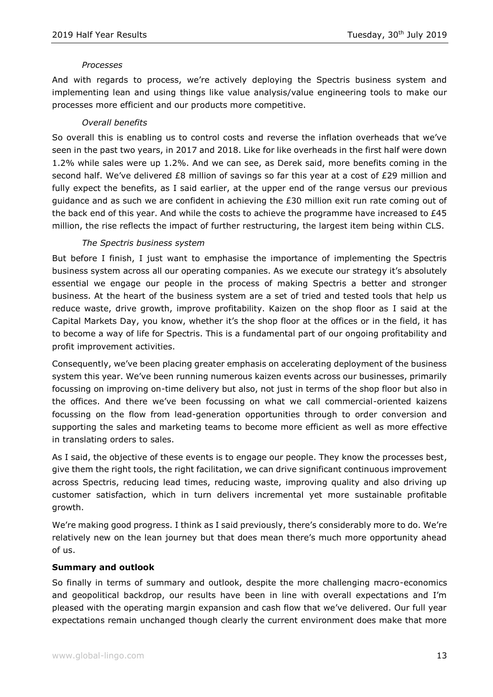## *Processes*

And with regards to process, we're actively deploying the Spectris business system and implementing lean and using things like value analysis/value engineering tools to make our processes more efficient and our products more competitive.

#### *Overall benefits*

So overall this is enabling us to control costs and reverse the inflation overheads that we've seen in the past two years, in 2017 and 2018. Like for like overheads in the first half were down 1.2% while sales were up 1.2%. And we can see, as Derek said, more benefits coming in the second half. We've delivered £8 million of savings so far this year at a cost of £29 million and fully expect the benefits, as I said earlier, at the upper end of the range versus our previous guidance and as such we are confident in achieving the £30 million exit run rate coming out of the back end of this year. And while the costs to achieve the programme have increased to £45 million, the rise reflects the impact of further restructuring, the largest item being within CLS.

## *The Spectris business system*

But before I finish, I just want to emphasise the importance of implementing the Spectris business system across all our operating companies. As we execute our strategy it's absolutely essential we engage our people in the process of making Spectris a better and stronger business. At the heart of the business system are a set of tried and tested tools that help us reduce waste, drive growth, improve profitability. Kaizen on the shop floor as I said at the Capital Markets Day, you know, whether it's the shop floor at the offices or in the field, it has to become a way of life for Spectris. This is a fundamental part of our ongoing profitability and profit improvement activities.

Consequently, we've been placing greater emphasis on accelerating deployment of the business system this year. We've been running numerous kaizen events across our businesses, primarily focussing on improving on-time delivery but also, not just in terms of the shop floor but also in the offices. And there we've been focussing on what we call commercial-oriented kaizens focussing on the flow from lead-generation opportunities through to order conversion and supporting the sales and marketing teams to become more efficient as well as more effective in translating orders to sales.

As I said, the objective of these events is to engage our people. They know the processes best, give them the right tools, the right facilitation, we can drive significant continuous improvement across Spectris, reducing lead times, reducing waste, improving quality and also driving up customer satisfaction, which in turn delivers incremental yet more sustainable profitable growth.

We're making good progress. I think as I said previously, there's considerably more to do. We're relatively new on the lean journey but that does mean there's much more opportunity ahead of us.

## **Summary and outlook**

So finally in terms of summary and outlook, despite the more challenging macro-economics and geopolitical backdrop, our results have been in line with overall expectations and I'm pleased with the operating margin expansion and cash flow that we've delivered. Our full year expectations remain unchanged though clearly the current environment does make that more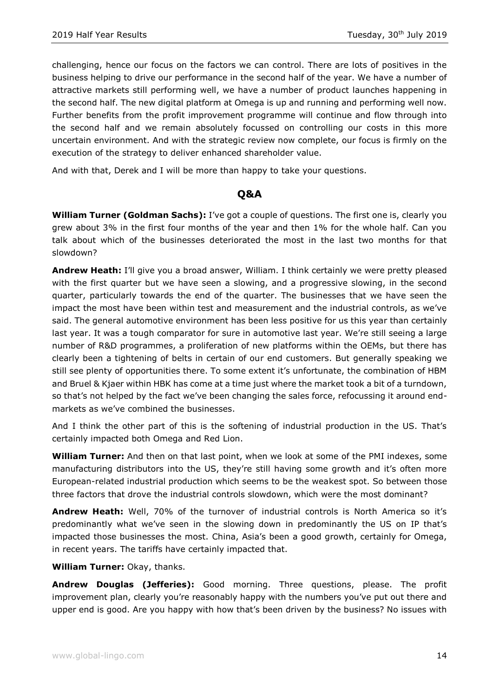challenging, hence our focus on the factors we can control. There are lots of positives in the business helping to drive our performance in the second half of the year. We have a number of attractive markets still performing well, we have a number of product launches happening in the second half. The new digital platform at Omega is up and running and performing well now. Further benefits from the profit improvement programme will continue and flow through into the second half and we remain absolutely focussed on controlling our costs in this more uncertain environment. And with the strategic review now complete, our focus is firmly on the execution of the strategy to deliver enhanced shareholder value.

And with that, Derek and I will be more than happy to take your questions.

# **Q&A**

**William Turner (Goldman Sachs):** I've got a couple of questions. The first one is, clearly you grew about 3% in the first four months of the year and then 1% for the whole half. Can you talk about which of the businesses deteriorated the most in the last two months for that slowdown?

**Andrew Heath:** I'll give you a broad answer, William. I think certainly we were pretty pleased with the first quarter but we have seen a slowing, and a progressive slowing, in the second quarter, particularly towards the end of the quarter. The businesses that we have seen the impact the most have been within test and measurement and the industrial controls, as we've said. The general automotive environment has been less positive for us this year than certainly last year. It was a tough comparator for sure in automotive last year. We're still seeing a large number of R&D programmes, a proliferation of new platforms within the OEMs, but there has clearly been a tightening of belts in certain of our end customers. But generally speaking we still see plenty of opportunities there. To some extent it's unfortunate, the combination of HBM and Bruel & Kjaer within HBK has come at a time just where the market took a bit of a turndown, so that's not helped by the fact we've been changing the sales force, refocussing it around endmarkets as we've combined the businesses.

And I think the other part of this is the softening of industrial production in the US. That's certainly impacted both Omega and Red Lion.

**William Turner:** And then on that last point, when we look at some of the PMI indexes, some manufacturing distributors into the US, they're still having some growth and it's often more European-related industrial production which seems to be the weakest spot. So between those three factors that drove the industrial controls slowdown, which were the most dominant?

**Andrew Heath:** Well, 70% of the turnover of industrial controls is North America so it's predominantly what we've seen in the slowing down in predominantly the US on IP that's impacted those businesses the most. China, Asia's been a good growth, certainly for Omega, in recent years. The tariffs have certainly impacted that.

**William Turner:** Okay, thanks.

**Andrew Douglas (Jefferies):** Good morning. Three questions, please. The profit improvement plan, clearly you're reasonably happy with the numbers you've put out there and upper end is good. Are you happy with how that's been driven by the business? No issues with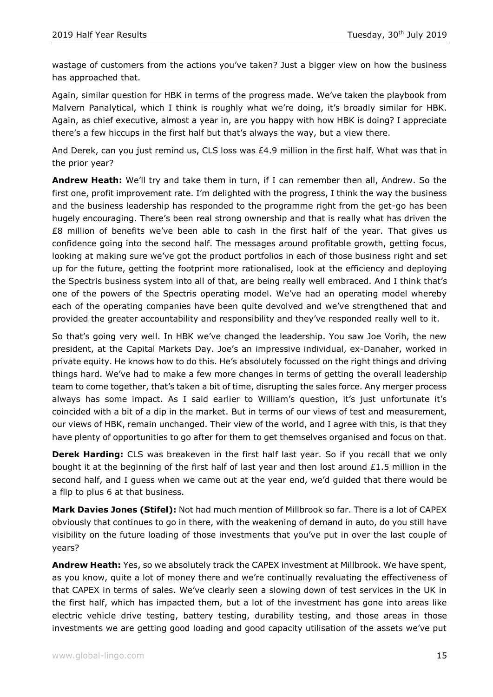wastage of customers from the actions you've taken? Just a bigger view on how the business has approached that.

Again, similar question for HBK in terms of the progress made. We've taken the playbook from Malvern Panalytical, which I think is roughly what we're doing, it's broadly similar for HBK. Again, as chief executive, almost a year in, are you happy with how HBK is doing? I appreciate there's a few hiccups in the first half but that's always the way, but a view there.

And Derek, can you just remind us, CLS loss was £4.9 million in the first half. What was that in the prior year?

**Andrew Heath:** We'll try and take them in turn, if I can remember then all, Andrew. So the first one, profit improvement rate. I'm delighted with the progress, I think the way the business and the business leadership has responded to the programme right from the get-go has been hugely encouraging. There's been real strong ownership and that is really what has driven the £8 million of benefits we've been able to cash in the first half of the year. That gives us confidence going into the second half. The messages around profitable growth, getting focus, looking at making sure we've got the product portfolios in each of those business right and set up for the future, getting the footprint more rationalised, look at the efficiency and deploying the Spectris business system into all of that, are being really well embraced. And I think that's one of the powers of the Spectris operating model. We've had an operating model whereby each of the operating companies have been quite devolved and we've strengthened that and provided the greater accountability and responsibility and they've responded really well to it.

So that's going very well. In HBK we've changed the leadership. You saw Joe Vorih, the new president, at the Capital Markets Day. Joe's an impressive individual, ex-Danaher, worked in private equity. He knows how to do this. He's absolutely focussed on the right things and driving things hard. We've had to make a few more changes in terms of getting the overall leadership team to come together, that's taken a bit of time, disrupting the sales force. Any merger process always has some impact. As I said earlier to William's question, it's just unfortunate it's coincided with a bit of a dip in the market. But in terms of our views of test and measurement, our views of HBK, remain unchanged. Their view of the world, and I agree with this, is that they have plenty of opportunities to go after for them to get themselves organised and focus on that.

**Derek Harding:** CLS was breakeven in the first half last year. So if you recall that we only bought it at the beginning of the first half of last year and then lost around  $£1.5$  million in the second half, and I guess when we came out at the year end, we'd guided that there would be a flip to plus 6 at that business.

**Mark Davies Jones (Stifel):** Not had much mention of Millbrook so far. There is a lot of CAPEX obviously that continues to go in there, with the weakening of demand in auto, do you still have visibility on the future loading of those investments that you've put in over the last couple of years?

**Andrew Heath:** Yes, so we absolutely track the CAPEX investment at Millbrook. We have spent, as you know, quite a lot of money there and we're continually revaluating the effectiveness of that CAPEX in terms of sales. We've clearly seen a slowing down of test services in the UK in the first half, which has impacted them, but a lot of the investment has gone into areas like electric vehicle drive testing, battery testing, durability testing, and those areas in those investments we are getting good loading and good capacity utilisation of the assets we've put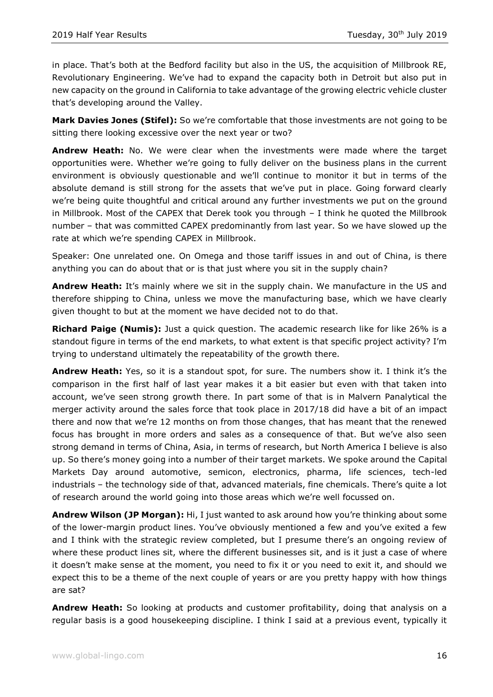in place. That's both at the Bedford facility but also in the US, the acquisition of Millbrook RE, Revolutionary Engineering. We've had to expand the capacity both in Detroit but also put in new capacity on the ground in California to take advantage of the growing electric vehicle cluster that's developing around the Valley.

**Mark Davies Jones (Stifel):** So we're comfortable that those investments are not going to be sitting there looking excessive over the next year or two?

**Andrew Heath:** No. We were clear when the investments were made where the target opportunities were. Whether we're going to fully deliver on the business plans in the current environment is obviously questionable and we'll continue to monitor it but in terms of the absolute demand is still strong for the assets that we've put in place. Going forward clearly we're being quite thoughtful and critical around any further investments we put on the ground in Millbrook. Most of the CAPEX that Derek took you through – I think he quoted the Millbrook number – that was committed CAPEX predominantly from last year. So we have slowed up the rate at which we're spending CAPEX in Millbrook.

Speaker: One unrelated one. On Omega and those tariff issues in and out of China, is there anything you can do about that or is that just where you sit in the supply chain?

**Andrew Heath:** It's mainly where we sit in the supply chain. We manufacture in the US and therefore shipping to China, unless we move the manufacturing base, which we have clearly given thought to but at the moment we have decided not to do that.

**Richard Paige (Numis):** Just a quick question. The academic research like for like 26% is a standout figure in terms of the end markets, to what extent is that specific project activity? I'm trying to understand ultimately the repeatability of the growth there.

**Andrew Heath:** Yes, so it is a standout spot, for sure. The numbers show it. I think it's the comparison in the first half of last year makes it a bit easier but even with that taken into account, we've seen strong growth there. In part some of that is in Malvern Panalytical the merger activity around the sales force that took place in 2017/18 did have a bit of an impact there and now that we're 12 months on from those changes, that has meant that the renewed focus has brought in more orders and sales as a consequence of that. But we've also seen strong demand in terms of China, Asia, in terms of research, but North America I believe is also up. So there's money going into a number of their target markets. We spoke around the Capital Markets Day around automotive, semicon, electronics, pharma, life sciences, tech-led industrials – the technology side of that, advanced materials, fine chemicals. There's quite a lot of research around the world going into those areas which we're well focussed on.

**Andrew Wilson (JP Morgan):** Hi, I just wanted to ask around how you're thinking about some of the lower-margin product lines. You've obviously mentioned a few and you've exited a few and I think with the strategic review completed, but I presume there's an ongoing review of where these product lines sit, where the different businesses sit, and is it just a case of where it doesn't make sense at the moment, you need to fix it or you need to exit it, and should we expect this to be a theme of the next couple of years or are you pretty happy with how things are sat?

**Andrew Heath:** So looking at products and customer profitability, doing that analysis on a regular basis is a good housekeeping discipline. I think I said at a previous event, typically it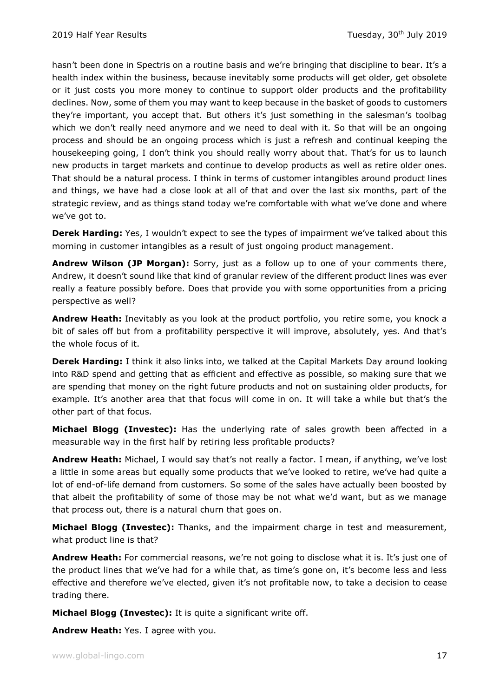hasn't been done in Spectris on a routine basis and we're bringing that discipline to bear. It's a health index within the business, because inevitably some products will get older, get obsolete or it just costs you more money to continue to support older products and the profitability declines. Now, some of them you may want to keep because in the basket of goods to customers they're important, you accept that. But others it's just something in the salesman's toolbag which we don't really need anymore and we need to deal with it. So that will be an ongoing process and should be an ongoing process which is just a refresh and continual keeping the housekeeping going, I don't think you should really worry about that. That's for us to launch new products in target markets and continue to develop products as well as retire older ones. That should be a natural process. I think in terms of customer intangibles around product lines and things, we have had a close look at all of that and over the last six months, part of the strategic review, and as things stand today we're comfortable with what we've done and where we've got to.

**Derek Harding:** Yes, I wouldn't expect to see the types of impairment we've talked about this morning in customer intangibles as a result of just ongoing product management.

**Andrew Wilson (JP Morgan):** Sorry, just as a follow up to one of your comments there, Andrew, it doesn't sound like that kind of granular review of the different product lines was ever really a feature possibly before. Does that provide you with some opportunities from a pricing perspective as well?

**Andrew Heath:** Inevitably as you look at the product portfolio, you retire some, you knock a bit of sales off but from a profitability perspective it will improve, absolutely, yes. And that's the whole focus of it.

**Derek Harding:** I think it also links into, we talked at the Capital Markets Day around looking into R&D spend and getting that as efficient and effective as possible, so making sure that we are spending that money on the right future products and not on sustaining older products, for example. It's another area that that focus will come in on. It will take a while but that's the other part of that focus.

**Michael Blogg (Investec):** Has the underlying rate of sales growth been affected in a measurable way in the first half by retiring less profitable products?

**Andrew Heath:** Michael, I would say that's not really a factor. I mean, if anything, we've lost a little in some areas but equally some products that we've looked to retire, we've had quite a lot of end-of-life demand from customers. So some of the sales have actually been boosted by that albeit the profitability of some of those may be not what we'd want, but as we manage that process out, there is a natural churn that goes on.

**Michael Blogg (Investec):** Thanks, and the impairment charge in test and measurement, what product line is that?

**Andrew Heath:** For commercial reasons, we're not going to disclose what it is. It's just one of the product lines that we've had for a while that, as time's gone on, it's become less and less effective and therefore we've elected, given it's not profitable now, to take a decision to cease trading there.

**Michael Blogg (Investec):** It is quite a significant write off.

**Andrew Heath:** Yes. I agree with you.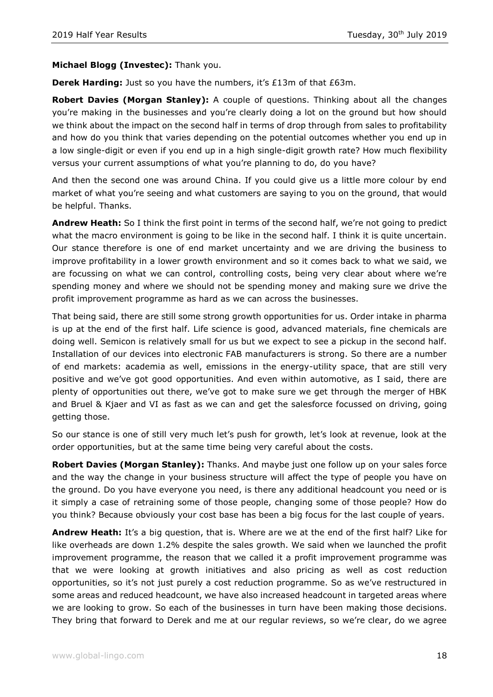## **Michael Blogg (Investec):** Thank you.

**Derek Harding:** Just so you have the numbers, it's £13m of that £63m.

**Robert Davies (Morgan Stanley):** A couple of questions. Thinking about all the changes you're making in the businesses and you're clearly doing a lot on the ground but how should we think about the impact on the second half in terms of drop through from sales to profitability and how do you think that varies depending on the potential outcomes whether you end up in a low single-digit or even if you end up in a high single-digit growth rate? How much flexibility versus your current assumptions of what you're planning to do, do you have?

And then the second one was around China. If you could give us a little more colour by end market of what you're seeing and what customers are saying to you on the ground, that would be helpful. Thanks.

**Andrew Heath:** So I think the first point in terms of the second half, we're not going to predict what the macro environment is going to be like in the second half. I think it is quite uncertain. Our stance therefore is one of end market uncertainty and we are driving the business to improve profitability in a lower growth environment and so it comes back to what we said, we are focussing on what we can control, controlling costs, being very clear about where we're spending money and where we should not be spending money and making sure we drive the profit improvement programme as hard as we can across the businesses.

That being said, there are still some strong growth opportunities for us. Order intake in pharma is up at the end of the first half. Life science is good, advanced materials, fine chemicals are doing well. Semicon is relatively small for us but we expect to see a pickup in the second half. Installation of our devices into electronic FAB manufacturers is strong. So there are a number of end markets: academia as well, emissions in the energy-utility space, that are still very positive and we've got good opportunities. And even within automotive, as I said, there are plenty of opportunities out there, we've got to make sure we get through the merger of HBK and Bruel & Kjaer and VI as fast as we can and get the salesforce focussed on driving, going getting those.

So our stance is one of still very much let's push for growth, let's look at revenue, look at the order opportunities, but at the same time being very careful about the costs.

**Robert Davies (Morgan Stanley):** Thanks. And maybe just one follow up on your sales force and the way the change in your business structure will affect the type of people you have on the ground. Do you have everyone you need, is there any additional headcount you need or is it simply a case of retraining some of those people, changing some of those people? How do you think? Because obviously your cost base has been a big focus for the last couple of years.

**Andrew Heath:** It's a big question, that is. Where are we at the end of the first half? Like for like overheads are down 1.2% despite the sales growth. We said when we launched the profit improvement programme, the reason that we called it a profit improvement programme was that we were looking at growth initiatives and also pricing as well as cost reduction opportunities, so it's not just purely a cost reduction programme. So as we've restructured in some areas and reduced headcount, we have also increased headcount in targeted areas where we are looking to grow. So each of the businesses in turn have been making those decisions. They bring that forward to Derek and me at our regular reviews, so we're clear, do we agree